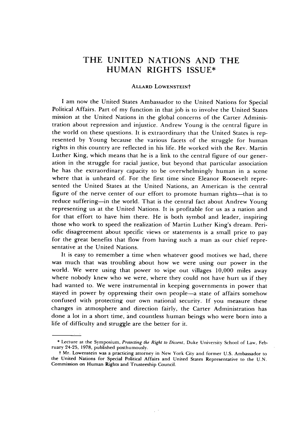## THE **UNITED NATIONS AND** THE **HUMAN** RIGHTS **ISSUE\***

## ALLARD LOWENSTEINt

**I** am now the United States Ambassador to the United Nations for Special Political Affairs. Part of my function in that **job** is to involve the United States mission at the United Nations in the global concerns of the Carter Administration about repression and injustice. Andrew Young is the central figure in the world on these questions. It is extraordinary that the United States is represented **by** Young because the various facets of the struggle for human rights in this country are reflected in his life. He worked with the Rev. Martin Luther King, which means that he is a link to the central figure of our generation in the struggle for racial justice, but beyond that particular association he has the extraordinary capacity to be overwhelmingly human in a scene where that is unheard of. For the first time since Eleanor Roosevelt represented the United States at the United Nations, an American is the central figure of the nerve center of our effort to promote human rights-that is to reduce suffering-in the world. That is the central fact about Andrew Young representing us at the United Nations. It is profitable for us as a nation and for that effort to have him **there.** He is both symbol and leader, inspiring those who work to speed the realization **of** Martin Luther King's dream. Periodic disagreement about specific views or statements is a small price to pay for the great benefits that flow from having such a man as our chief representative at the United Nations.

It is easy to remember a time when whatever good motives we had, there was much that was troubling about how we were using our power in the world. We were using that power to wipe out villages **10,000** miles away where nobody knew who we were, where they could not have hurt us if they had wanted to. We were instrumental in keeping governments in power that stayed in power **by** oppressing their own people-a state of affairs somehow confused with protecting our own national security. **If** you measure these changes in atmosphere and direction fairly, the Carter Administration has done a lot in a short time, **and** countless human beings who were born into a life of difficulty and struggle are the better for it.

**<sup>\*</sup>** Lecture at the Symposium, *Protecting the Right to Dissent,* Duke University School of Law, February 24-25, **1978,** published posthumously.

t Mr. Lowenstein was a practicing attorney in New York City and former **U.S.** Ambassador to the United Nations for Special Political Affairs and United States Representative to the **U.N.** Commission on **Human** Rights and Trusteeship Council.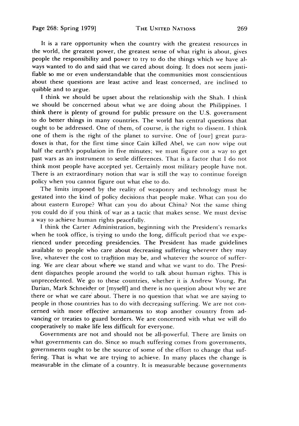It is a rare opportunity when the country with the greatest resources in the world, the greatest power, the greatest sense of what right is about, gives people the responsibility and power to try to do the things which we have always wanted to do and said that we cared about doing. It does not seem justifiable **to** me or even understandable that the communities most conscientious about these questions are least active and least concerned, are inclined to quibble and to argue.

I think we should be upset about the relationship with the Shah. I think we should be concerned about what we are doing about the Philippines. I think there is plenty of ground for public pressure on the U.S. government to do better things in many countries. The world has central questions that ought to be addressed. One of them, of course, is the right to dissent. I think one of them is the right of the planet to survive. One of [our] great paradoxes is that, for the first time since Cain killed Abel, we can now wipe out half the earth's population in five minutes; we must figure out a way to get past wars as an instrument to settle differences. That is a factor that I do not think most people have accepted yet. Certainly most military people have not. There is an extraordinary notion that war is still the way to continue foreign policy when you cannot figure out what else to do.

The limits imposed by the reality of weaponry and technology must be gestated into the kind of policy decisions that people make. What can you do about eastern Europe? What can you do about China? Not the same thing you could do if you think of war as a tactic that makes sense. We must devise a way to achieve human rights peacefully.

I think the Carter Administration, beginning with the President's remarks when he took office, is trying to undo the long, difficult period that we experienced under preceding presidencies. The President has made guidelines available to people who care about decreasing suffering wherever they may live, whatever the cost to tradition may be, and whatever the source of suffering. We are clear about where we stand and what we want to do. The President dispatches people around the world to talk about human rights. This is unprecedented. We go to these countries, whether it is Andrew Young, Pat Darian, Mark Schneider or [myself] and there is no question about why we are there or what we care about. There is no question that what we are saying to people in those countries has to do with decreasing suffering. We are not concerned with more effective armaments to stop another country from advancing or treaties to guard borders. We are concerned with what we will do cooperatively to make life less difficult for everyone.

Governments are not and should not be all-powerful. There are limits on what governments can do. Since so much suffering comes from governments, governments ought to be the source of some of the effort to change that suffering. That is what we are trying to achieve. In many places the change is measurable in the climate of a country. It is measurable because governments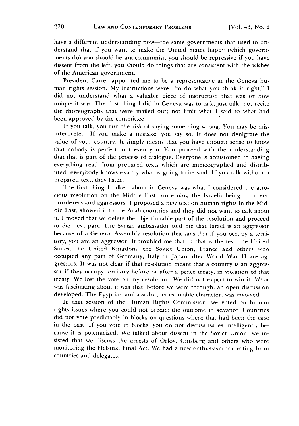have a different understanding now—the same governments that used to understand that if you want to make the United States happy (which governments do) you should be anticommunist, you should be repressive if you have dissent from the left, you should do things that are consistent with the wishes of the American government.

President Carter appointed me to be a representative at the Geneva human rights session. My instructions were, "to do what you think is right." I did not understand what a valuable piece of instruction that was or how unique it was. The first thing I did in Geneva was to talk, just talk; not recite the choreographs that were mailed out; not limit what I said to what had been approved by the committee.

If you talk, you run the risk of saying something wrong. You may be misinterpreted. If you make a mistake, you say so. It does not denigrate the value of your country. It simply means that you have enough sense to know that nobody is perfect, not even you. You proceed with the understanding that that is part of the process of dialogue. Everyone is accustomed to having everything read from prepared texts which are mimeographed and distributed; everybody knows exactly what is going to be said. If you talk without a prepared text, they listen.

The first thing I talked about in Geneva was what I considered the atrocious resolution on the Middle East concerning the Israelis being torturers, murderers and aggressors. I proposed a new text on human rights in the Middle East, showed it to the Arab countries and they did not want to talk about it. I moved that we delete the objectionable part of the resolution and proceed to the next part. The Syrian ambassador told me that Israel is an aggressor because of a General Assembly resolution that says that if you occupy a territory, you are an aggressor. It troubled me that, if that is the test, the United States, the United Kingdom, the Soviet Union, France and others who occupied any part of Germany, Italy or Japan after World War II are aggressors. It was not clear if that resolution meant that a country is an aggressor if they occupy territory before or after a peace treaty, in violation of that treaty. We lost the vote on my resolution. We did not expect to win it. What was fascinating about it was that, before we were through, an open discussion developed. The Egyptian ambassador, an estimable character, was involved.

In that session of the Human Rights Commission, we voted on human rights issues where you could not predict the outcome in advance. Countries did not vote predictably in blocks on questions where that had been the case in the past. If you vote in blocks, you do not discuss issues intelligently because it is polemicized. We talked about dissent in the Soviet Union; we insisted that we discuss the arrests of Orlov, Ginsberg and others who were monitoring the Helsinki Final Act. We had a new enthusiasm for voting from countries and delegates.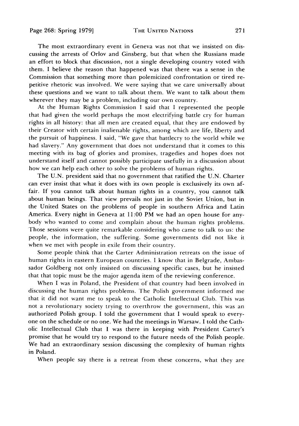The most extraordinary event in Geneva was not that we insisted on discussing the arrests of Orlov and Ginsberg, but that when the Russians made an effort to block that discussion, not a single developing country voted with them. I believe the reason that happened was that there was a sense in the Commission that something more than polemicized confrontation or tired repetitive rhetoric was involved. We were saying that we care universally about these questions and we want to talk about them. We want to talk about them wherever they may be a problem, including our own country.

At the Human Rights Commission I said that I represented the people that had given the world perhaps the most electrifying battle cry for human rights in all history: that all men are created equal, that they are endowed by their Creator with certain inalienable rights, among which are life, liberty and the pursuit of happiness. I said, "We gave that battlecry to the world while we had slavery." Any government that does not understand that it comes to this meeting with its bag of glories and promises, tragedies and hopes does not understand itself and cannot possibly participate usefully in a discussion about how we can help each other to solve the problems of human rights.

The U.N. president said that no government that ratified the U.N. Charter can ever insist that what it does with its own people is exclusively its own affair. If you cannot talk about human rights in a country, you cannot talk about human beings. That view prevails not just in the Soviet Union, but in the United States on the problems of people in southern Africa and Latin America. Every night in Geneva at 11:00 PM we had an open house for anybody who wanted to come and complain about the human rights problems. Those sessions were quite remarkable considering who came to talk to us: the people, the information, the suffering. Some governments did not like it when we met with people in exile from their country.

Some people think that the Carter Administration retreats on the issue of human rights in eastern European countries. I know that in Belgrade, Ambassador Goldberg not only insisted on discussing specific cases, but he insisted that that topic must be the major agenda item of the reviewing conference.

When I was in Poland, the President of that country had been involved in discussing the human rights problems. The Polish government informed me that it did not want me to speak to the Catholic Intellectual Club. This was not a revolutionary society trying to overthrow the government, this was an authorized Polish group. I told the government that I would speak to everyone on the schedule or no one. We had the meetings in Warsaw. I told the Catholic Intellectual Club that I was there in keeping with President Carter's promise that he would try to respond to the future needs of the Polish people. We had an extraordinary session discussing the complexity of human rights in Poland.

When people say there is a retreat from these concerns, what they are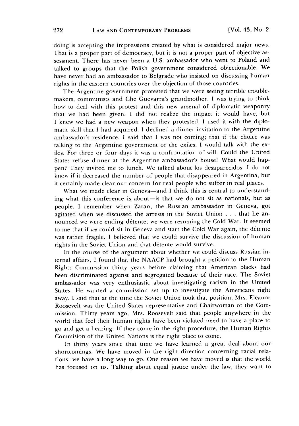doing is accepting the impressions created by what is considered major news. That is a proper part of democracy, but it is not a proper part of objective assessment. There has never been a U.S. ambassador who went to Poland and talked to groups that the Polish government considered objectionable. We have never had an ambassador to Belgrade who insisted on discussing human rights in the eastern countries over the objection of those countries.

The Argentine government protested that we were seeing terrible troublemakers, communists and Che Guevarra's grandmother. I was trying to think how to deal with this protest and this new arsenal of diplomatic weaponry that we had been given. I did not realize the impact it would have, but I knew we had a new weapon when they protested. I used it with the diplomatic skill that I had acquired. I declined a dinner invitation to the Argentine ambassador's residence. I said that I was not coming; that if the choice was talking to the Argentine government or the exiles, I would talk with the exiles. For three or four days it was a confrontation of will. Could the United States refuse dinner at the Argentine ambassador's house? What would happen? They invited me to lunch. We talked about los desaparecidos. I do not know if it decreased the number of people that disappeared in Argentina, but it certainly made clear our concern for real people who suffer in real places.

What we made clear in Geneva-and I think this is central to understanding what this conference is about-is that we do not sit as nationals, but as people. I remember when Zaran, the Russian ambassador in Geneva, got agitated when we discussed the arrests in the Soviet Union . . . that he announced we were ending détente, we were resuming the Cold War. It seemed to me that if we could sit in Geneva and start the Cold War again, the détente was rather fragile. I believed that we could survive the discussion of human rights in the Soviet Union and that detente would survive.

In the course of the argument about whether we could discuss Russian internal affairs, I found that the NAACP had brought a petition to the Human Rights Commission thirty years before claiming that American blacks had been discriminated against and segregated because of their race. The Soviet ambassador was very enthusiastic about investigating racism in the United States. He wanted a commission set up to investigate the Americans right away. I said that at the time the Soviet Union took that position, Mrs. Eleanor Roosevelt was the United States representative and Chairwoman of the Commission. Thirty years ago, Mrs. Roosevelt said that people anywhere in the world that feel their human rights have been violated need to have a place to go and get a hearing. If they come in the right procedure, the Human Rights Commision of the United Nations is the right place to come.

In thirty years since that time we have learned a great deal about our shortcomings. We have moved in the right direction concerning racial relations; we have a long way to go. One reason we have moved is that the world has focused on us. Talking about equal justice under the law, they want to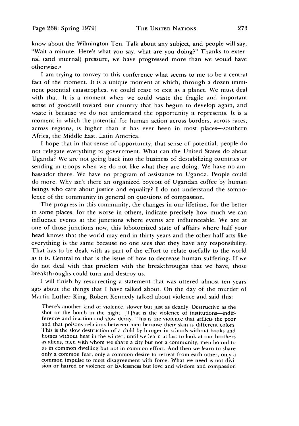know about the Wilmington Ten. Talk about any subject, and people will say, "Wait a minute. Here's what you say, what are you doing?" Thanks to external (and internal) pressure, we have progressed more than we would have otherwise..

I am trying to convey to this conference what seems to me to be a central fact of the moment. It is a unique moment at which, through a dozen imminent potential catastrophes, we could cease to exit as a planet. We must deal with that. It is a moment when we could waste the fragile and important sense of goodwill toward our country that has begun to develop again, and waste it because we do not understand the opportunity it represents. It is a moment in which the potential for human action across borders, across races, across regions, is higher than it has ever been in most places-southern Africa, the Middle East, Latin America.

I hope that in that sense of opportunity, that sense of potential, people do not relegate everything to government. What can the United States do about Uganda? We are not going back into the business of destabilizing countries or sending in troops when we do not like what they are doing. We have no ambassador there. We have no program of assistance to Uganda. People could do more. Why isn't there an organized boycott of Ugandan coffee by human beings who care about justice and equality? I do not understand the somnolence of the community in general on questions of compassion.

The progress in this community, the changes in our lifetime, for the better in some places, for the worse in others, indicate precisely how much we can influence events at the junctions where events are influenceable. We are at one of those junctions now, this lobotomized state of affairs where half your head knows that the world may end in thirty years and the other half acts like everything is the same because no one sees that they have any responsibility. That has to be dealt with as part of the effort to relate usefully to the world as it is. Central to that is the issue of how to decrease human suffering. If we do not deal with that problem with the breakthroughs that we have, those breakthroughs could turn and destroy us.

I will finish by resurrecting a statement that was uttered almost ten years ago about the things that I have talked about. On the day of the murder of Martin Luther King, Robert Kennedy talked about violence and said this:

There's another kind of violence, slower but just as deadly. Destructive as the shot or the bomb in the night. [T]hat is the violence of institutions-indifference and inaction and slow decay. This is the violence that afflicts the poor and that poisons relations between men because their skin is different colors. This is the slow destruction of a child by hunger in schools without books and homes without heat in the winter, until we learn at last to look at our brothers as aliens, men with whom we share a city but not a community, men bound to us in common dwelling but not in common effort. And then we learn to share only a common fear, only a common desire to retreat from each other, only a common impulse to meet disagreement with force. What we need is not division or hatred or violence or lawlessness but love and wisdom and compassion